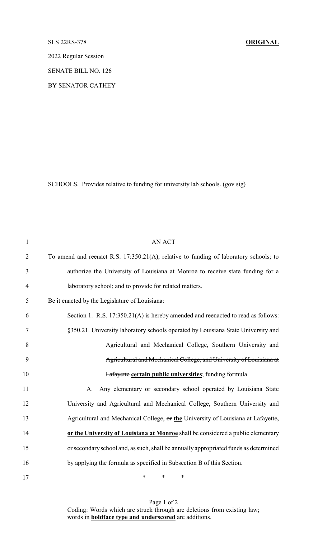## SLS 22RS-378 **ORIGINAL**

2022 Regular Session

SENATE BILL NO. 126

BY SENATOR CATHEY

SCHOOLS. Provides relative to funding for university lab schools. (gov sig)

| $\mathbf{1}$   | <b>AN ACT</b>                                                                         |
|----------------|---------------------------------------------------------------------------------------|
| $\overline{2}$ | To amend and reenact R.S. 17:350.21(A), relative to funding of laboratory schools; to |
| 3              | authorize the University of Louisiana at Monroe to receive state funding for a        |
| $\overline{4}$ | laboratory school; and to provide for related matters.                                |
| 5              | Be it enacted by the Legislature of Louisiana:                                        |
| 6              | Section 1. R.S. 17:350.21(A) is hereby amended and reenacted to read as follows:      |
| 7              | §350.21. University laboratory schools operated by Louisiana State University and     |
| 8              | Agricultural and Mechanical College, Southern University and                          |
| 9              | Agricultural and Mechanical College, and University of Louisiana at                   |
| 10             | <b>Lafayette certain public universities</b> ; funding formula                        |
| 11             | Any elementary or secondary school operated by Louisiana State<br>A.                  |
| 12             | University and Agricultural and Mechanical College, Southern University and           |
| 13             | Agricultural and Mechanical College, or the University of Louisiana at Lafayette,     |
| 14             | or the University of Louisiana at Monroe shall be considered a public elementary      |
| 15             | or secondary school and, as such, shall be annually appropriated funds as determined  |
| 16             | by applying the formula as specified in Subsection B of this Section.                 |
| 17             | $\ast$<br>$\ast$<br>∗                                                                 |

Page 1 of 2 Coding: Words which are struck through are deletions from existing law; words in **boldface type and underscored** are additions.